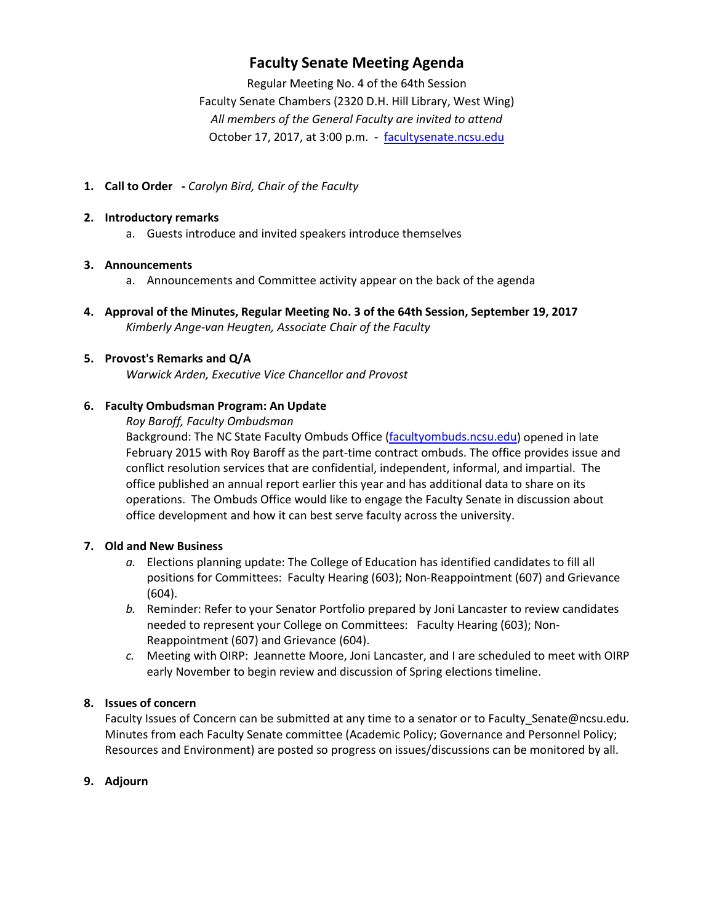# **Faculty Senate Meeting Agenda**

Regular Meeting No. 4 of the 64th Session Faculty Senate Chambers (2320 D.H. Hill Library, West Wing) *All members of the General Faculty are invited to attend* October 17, 2017, at 3:00 p.m. - [facultysenate.ncsu.edu](https://facultysenate.ncsu.edu/)

**1. Call to Order -** *Carolyn Bird, Chair of the Faculty*

#### **2. Introductory remarks**

a. Guests introduce and invited speakers introduce themselves

#### **3. Announcements**

- a. Announcements and Committee activity appear on the back of the agenda
- **4. Approval of the Minutes, Regular Meeting No. 3 of the 64th Session, September 19, 2017** *Kimberly Ange-van Heugten, Associate Chair of the Faculty*

# **5. Provost's Remarks and Q/A**

*Warwick Arden, Executive Vice Chancellor and Provost*

#### **6. Faculty Ombudsman Program: An Update**

*Roy Baroff, Faculty Ombudsman (see presentation materials at the end of this agenda)* Background: The NC State Faculty Ombuds Office [\(facultyombuds.ncsu.edu\)](http://facultyombuds.ncsu.edu/) opened in late February 2015 with Roy Baroff as the part-time contract ombuds. The office provides issue and conflict resolution services that are confidential, independent, informal, and impartial. The office published an annual report earlier this year and has additional data to share on its operations. The Ombuds Office would like to engage the Faculty Senate in discussion about office development and how it can best serve faculty across the university.

#### **7. Old and New Business**

- *a.* Elections planning update: The College of Education has identified candidates to fill all positions for Committees: Faculty Hearing (603); Non-Reappointment (607) and Grievance (604).
- *b.* Reminder: Refer to your Senator Portfolio prepared by Joni Lancaster to review candidates needed to represent your College on Committees: Faculty Hearing (603); Non-Reappointment (607) and Grievance (604).
- *c.* Meeting with OIRP: Jeannette Moore, Joni Lancaster, and I are scheduled to meet with OIRP early November to begin review and discussion of Spring elections timeline.

# **8. Issues of concern**

Faculty Issues of Concern can be submitted at any time to a senator or to Faculty Senate@ncsu.edu. Minutes from each Faculty Senate committee (Academic Policy; Governance and Personnel Policy; Resources and Environment) are posted so progress on issues/discussions can be monitored by all.

# **9. Adjourn**